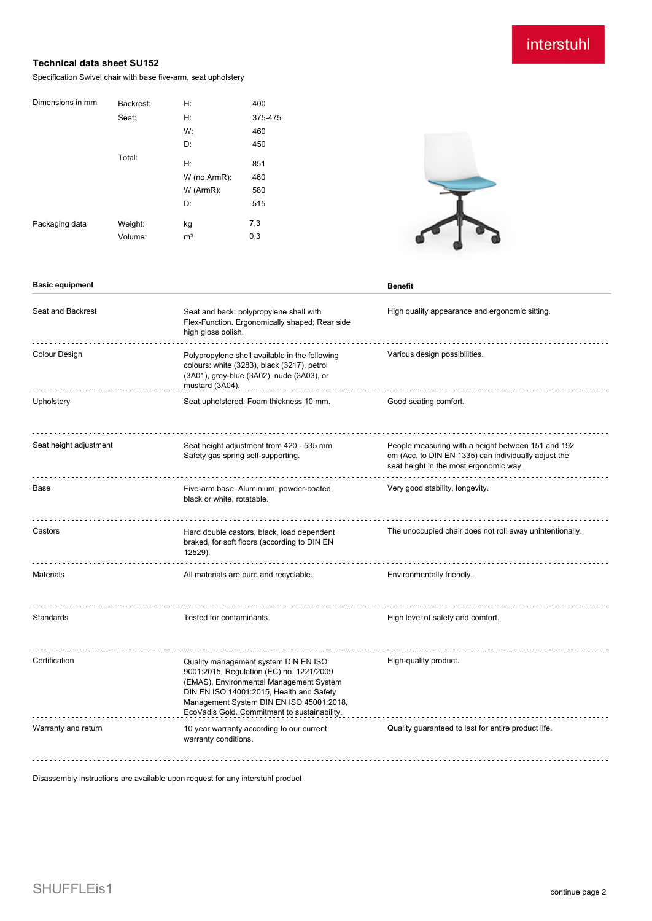## interstuhl

## **Technical data sheet SU152**

Specification Swivel chair with base five-arm, seat upholstery

| Dimensions in mm | Backrest: | Н:             | 400     |
|------------------|-----------|----------------|---------|
|                  | Seat:     | Н:             | 375-475 |
|                  |           | W:             | 460     |
|                  |           | D:             | 450     |
|                  | Total:    | H:             | 851     |
|                  |           | W (no ArmR):   | 460     |
|                  |           | $W$ (ArmR):    | 580     |
|                  |           | D:             | 515     |
| Packaging data   | Weight:   | kg             | 7,3     |
|                  | Volume:   | m <sup>3</sup> | 0,3     |

**Basic equipment Benefit** 



| Seat and Backrest      | Seat and back: polypropylene shell with<br>Flex-Function. Ergonomically shaped; Rear side<br>high gloss polish.                                                                                                                                                     | High quality appearance and ergonomic sitting.                                                                                                       |
|------------------------|---------------------------------------------------------------------------------------------------------------------------------------------------------------------------------------------------------------------------------------------------------------------|------------------------------------------------------------------------------------------------------------------------------------------------------|
| <b>Colour Design</b>   | Polypropylene shell available in the following<br>colours: white (3283), black (3217), petrol<br>(3A01), grey-blue (3A02), nude (3A03), or<br>mustard (3A04).                                                                                                       | Various design possibilities.                                                                                                                        |
| Upholstery             | Seat upholstered. Foam thickness 10 mm.                                                                                                                                                                                                                             | Good seating comfort.                                                                                                                                |
| Seat height adjustment | Seat height adjustment from 420 - 535 mm.<br>Safety gas spring self-supporting.                                                                                                                                                                                     | People measuring with a height between 151 and 192<br>cm (Acc. to DIN EN 1335) can individually adjust the<br>seat height in the most ergonomic way. |
| Base                   | Five-arm base: Aluminium, powder-coated,<br>black or white, rotatable.                                                                                                                                                                                              | Very good stability, longevity.                                                                                                                      |
| Castors                | Hard double castors, black, load dependent<br>braked, for soft floors (according to DIN EN<br>12529).                                                                                                                                                               | The unoccupied chair does not roll away unintentionally.                                                                                             |
| <b>Materials</b>       | All materials are pure and recyclable.                                                                                                                                                                                                                              | Environmentally friendly.                                                                                                                            |
| Standards              | Tested for contaminants.                                                                                                                                                                                                                                            | High level of safety and comfort.                                                                                                                    |
| Certification          | Quality management system DIN EN ISO<br>9001:2015, Regulation (EC) no. 1221/2009<br>(EMAS), Environmental Management System<br>DIN EN ISO 14001:2015, Health and Safety<br>Management System DIN EN ISO 45001:2018,<br>EcoVadis Gold. Commitment to sustainability. | High-quality product.                                                                                                                                |
| Warranty and return    | 10 year warranty according to our current<br>warranty conditions.                                                                                                                                                                                                   | Quality guaranteed to last for entire product life.                                                                                                  |

Disassembly instructions are available upon request for any interstuhl product